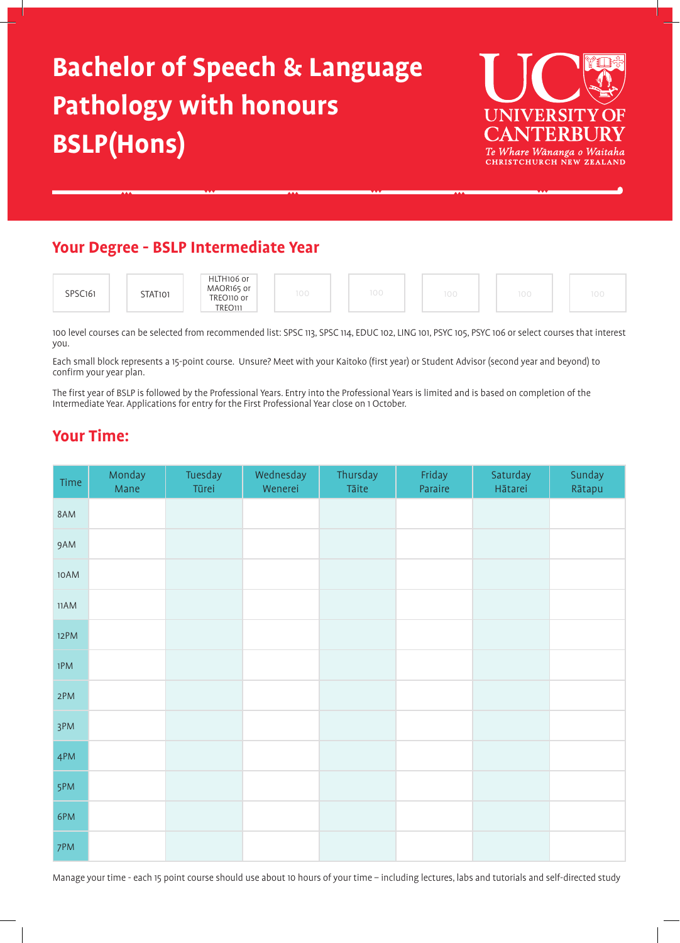# **Bachelor of Speech & Language Pathology with honours BSLP(Hons)**



# **Your Degree - BSLP Intermediate Year**



100 level courses can be selected from recommended list: SPSC 113, SPSC 114, EDUC 102, LING 101, PSYC 105, PSYC 106 or select courses that interest you.

Each small block represents a 15-point course. Unsure? Meet with your Kaitoko (first year) or Student Advisor (second year and beyond) to confirm your year plan.

The first year of BSLP is followed by the Professional Years. Entry into the Professional Years is limited and is based on completion of the Intermediate Year. Applications for entry for the First Professional Year close on 1 October.

# **Your Time:**

| Time | Monday<br>Mane | Tuesday<br>Tūrei | Wednesday<br>Wenerei | Thursday<br>Tāite | Friday<br>Paraire | Saturday<br>Hātarei | Sunday<br>Rātapu |
|------|----------------|------------------|----------------------|-------------------|-------------------|---------------------|------------------|
| 8AM  |                |                  |                      |                   |                   |                     |                  |
| 9AM  |                |                  |                      |                   |                   |                     |                  |
| 10AM |                |                  |                      |                   |                   |                     |                  |
| 11AM |                |                  |                      |                   |                   |                     |                  |
| 12PM |                |                  |                      |                   |                   |                     |                  |
| 1PM  |                |                  |                      |                   |                   |                     |                  |
| 2PM  |                |                  |                      |                   |                   |                     |                  |
| 3PM  |                |                  |                      |                   |                   |                     |                  |
| 4PM  |                |                  |                      |                   |                   |                     |                  |
| 5PM  |                |                  |                      |                   |                   |                     |                  |
| 6PM  |                |                  |                      |                   |                   |                     |                  |
| 7PM  |                |                  |                      |                   |                   |                     |                  |

Manage your time - each 15 point course should use about 10 hours of your time – including lectures, labs and tutorials and self-directed study